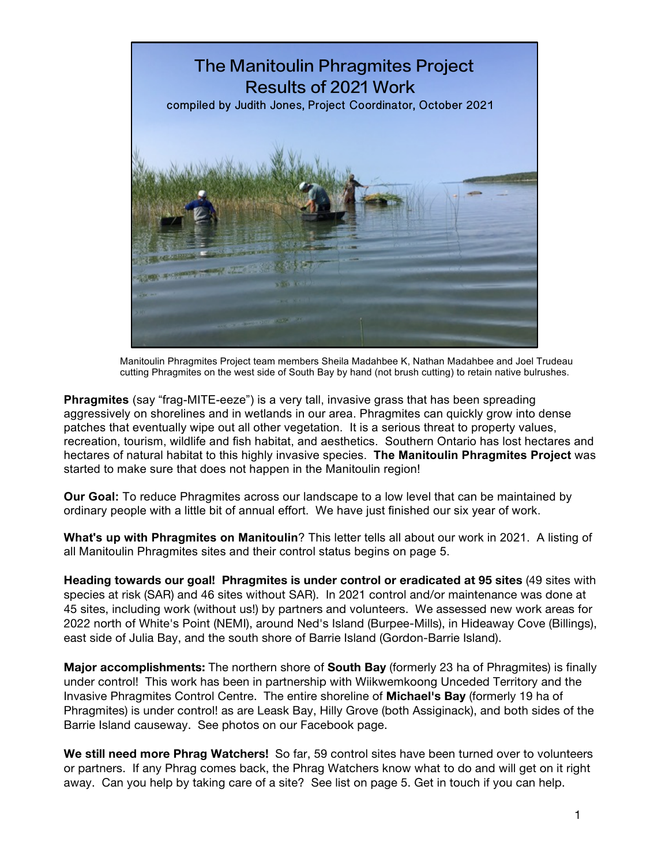

 Manitoulin Phragmites Project team members Sheila Madahbee K, Nathan Madahbee and Joel Trudeau cutting Phragmites on the west side of South Bay by hand (not brush cutting) to retain native bulrushes.

**Phragmites** (say "frag-MITE-eeze") is a very tall, invasive grass that has been spreading aggressively on shorelines and in wetlands in our area. Phragmites can quickly grow into dense patches that eventually wipe out all other vegetation. It is a serious threat to property values, recreation, tourism, wildlife and fish habitat, and aesthetics. Southern Ontario has lost hectares and hectares of natural habitat to this highly invasive species. **The Manitoulin Phragmites Project** was started to make sure that does not happen in the Manitoulin region!

**Our Goal:** To reduce Phragmites across our landscape to a low level that can be maintained by ordinary people with a little bit of annual effort. We have just finished our six year of work.

**What's up with Phragmites on Manitoulin**? This letter tells all about our work in 2021. A listing of all Manitoulin Phragmites sites and their control status begins on page 5.

**Heading towards our goal! Phragmites is under control or eradicated at 95 sites** (49 sites with species at risk (SAR) and 46 sites without SAR). In 2021 control and/or maintenance was done at 45 sites, including work (without us!) by partners and volunteers. We assessed new work areas for 2022 north of White's Point (NEMI), around Ned's Island (Burpee-Mills), in Hideaway Cove (Billings), east side of Julia Bay, and the south shore of Barrie Island (Gordon-Barrie Island).

**Major accomplishments:** The northern shore of **South Bay** (formerly 23 ha of Phragmites) is finally under control! This work has been in partnership with Wiikwemkoong Unceded Territory and the Invasive Phragmites Control Centre. The entire shoreline of **Michael's Bay** (formerly 19 ha of Phragmites) is under control! as are Leask Bay, Hilly Grove (both Assiginack), and both sides of the Barrie Island causeway. See photos on our Facebook page.

**We still need more Phrag Watchers!** So far, 59 control sites have been turned over to volunteers or partners. If any Phrag comes back, the Phrag Watchers know what to do and will get on it right away. Can you help by taking care of a site? See list on page 5. Get in touch if you can help.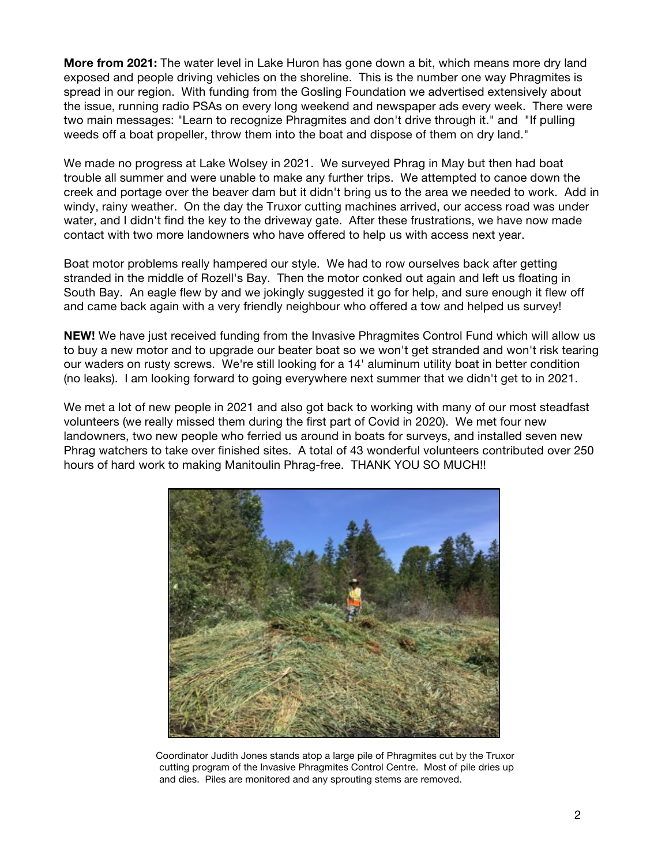**More from 2021:** The water level in Lake Huron has gone down a bit, which means more dry land exposed and people driving vehicles on the shoreline. This is the number one way Phragmites is spread in our region. With funding from the Gosling Foundation we advertised extensively about the issue, running radio PSAs on every long weekend and newspaper ads every week. There were two main messages: "Learn to recognize Phragmites and don't drive through it." and "If pulling weeds off a boat propeller, throw them into the boat and dispose of them on dry land."

We made no progress at Lake Wolsey in 2021. We surveyed Phrag in May but then had boat trouble all summer and were unable to make any further trips. We attempted to canoe down the creek and portage over the beaver dam but it didn't bring us to the area we needed to work. Add in windy, rainy weather. On the day the Truxor cutting machines arrived, our access road was under water, and I didn't find the key to the driveway gate. After these frustrations, we have now made contact with two more landowners who have offered to help us with access next year.

Boat motor problems really hampered our style. We had to row ourselves back after getting stranded in the middle of Rozell's Bay. Then the motor conked out again and left us floating in South Bay. An eagle flew by and we jokingly suggested it go for help, and sure enough it flew off and came back again with a very friendly neighbour who offered a tow and helped us survey!

**NEW!** We have just received funding from the Invasive Phragmites Control Fund which will allow us to buy a new motor and to upgrade our beater boat so we won't get stranded and won't risk tearing our waders on rusty screws. We're still looking for a 14' aluminum utility boat in better condition (no leaks). I am looking forward to going everywhere next summer that we didn't get to in 2021.

We met a lot of new people in 2021 and also got back to working with many of our most steadfast volunteers (we really missed them during the first part of Covid in 2020). We met four new landowners, two new people who ferried us around in boats for surveys, and installed seven new Phrag watchers to take over finished sites. A total of 43 wonderful volunteers contributed over 250 hours of hard work to making Manitoulin Phrag-free. THANK YOU SO MUCH!!



Coordinator Judith Jones stands atop a large pile of Phragmites cut by the Truxor cutting program of the Invasive Phragmites Control Centre. Most of pile dries up and dies. Piles are monitored and any sprouting stems are removed.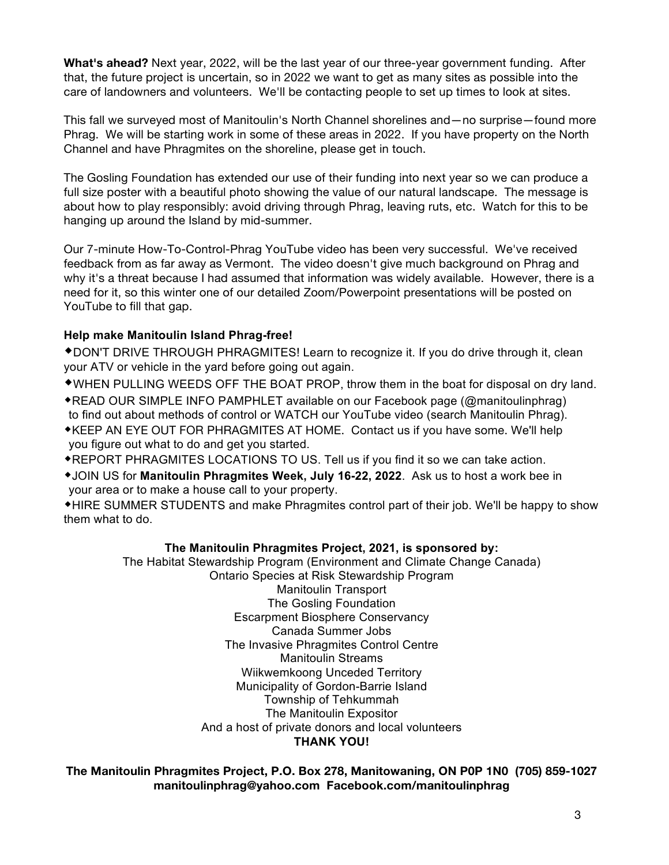**What's ahead?** Next year, 2022, will be the last year of our three-year government funding. After that, the future project is uncertain, so in 2022 we want to get as many sites as possible into the care of landowners and volunteers. We'll be contacting people to set up times to look at sites.

This fall we surveyed most of Manitoulin's North Channel shorelines and—no surprise—found more Phrag. We will be starting work in some of these areas in 2022. If you have property on the North Channel and have Phragmites on the shoreline, please get in touch.

The Gosling Foundation has extended our use of their funding into next year so we can produce a full size poster with a beautiful photo showing the value of our natural landscape. The message is about how to play responsibly: avoid driving through Phrag, leaving ruts, etc. Watch for this to be hanging up around the Island by mid-summer.

Our 7-minute How-To-Control-Phrag YouTube video has been very successful. We've received feedback from as far away as Vermont. The video doesn't give much background on Phrag and why it's a threat because I had assumed that information was widely available. However, there is a need for it, so this winter one of our detailed Zoom/Powerpoint presentations will be posted on YouTube to fill that gap.

## **Help make Manitoulin Island Phrag-free!**

\*DON'T DRIVE THROUGH PHRAGMITES! Learn to recognize it. If you do drive through it, clean your ATV or vehicle in the yard before going out again.

\*WHEN PULLING WEEDS OFF THE BOAT PROP, throw them in the boat for disposal on dry land.

- **\*READ OUR SIMPLE INFO PAMPHLET available on our Facebook page (@manitoulinphrag)** to find out about methods of control or WATCH our YouTube video (search Manitoulin Phrag).
- \*KEEP AN EYE OUT FOR PHRAGMITES AT HOME. Contact us if you have some. We'll help you figure out what to do and get you started.
- **\*REPORT PHRAGMITES LOCATIONS TO US. Tell us if you find it so we can take action.**
- \*JOIN US for **Manitoulin Phragmites Week, July 16-22, 2022**. Ask us to host a work bee in your area or to make a house call to your property.

• HIRE SUMMER STUDENTS and make Phragmites control part of their job. We'll be happy to show them what to do.

## **The Manitoulin Phragmites Project, 2021, is sponsored by:**

The Habitat Stewardship Program (Environment and Climate Change Canada) Ontario Species at Risk Stewardship Program Manitoulin Transport The Gosling Foundation Escarpment Biosphere Conservancy Canada Summer Jobs The Invasive Phragmites Control Centre Manitoulin Streams Wiikwemkoong Unceded Territory Municipality of Gordon-Barrie Island Township of Tehkummah The Manitoulin Expositor And a host of private donors and local volunteers **THANK YOU!**

**The Manitoulin Phragmites Project, P.O. Box 278, Manitowaning, ON P0P 1N0 (705) 859-1027 manitoulinphrag@yahoo.com Facebook.com/manitoulinphrag**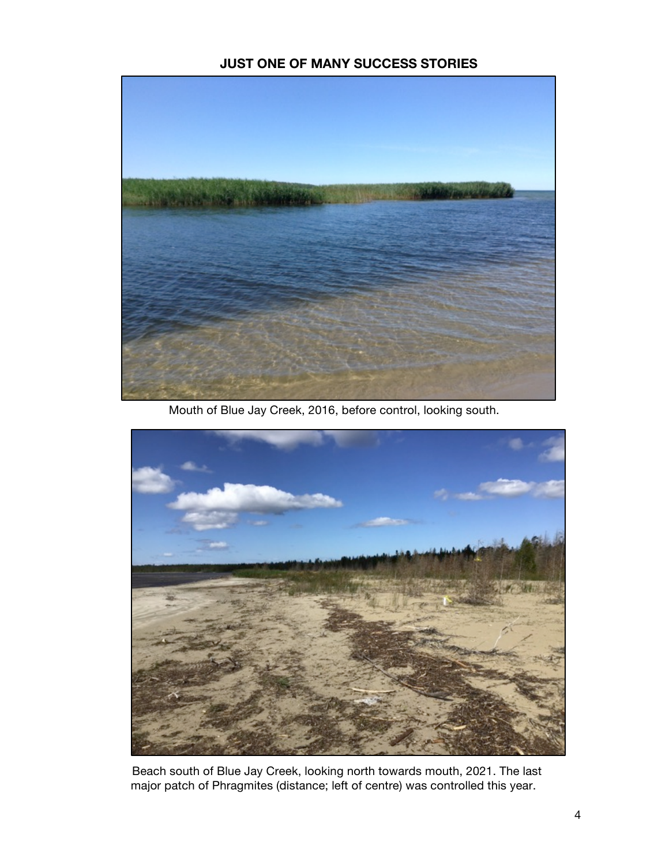## **JUST ONE OF MANY SUCCESS STORIES**



Mouth of Blue Jay Creek, 2016, before control, looking south.



 Beach south of Blue Jay Creek, looking north towards mouth, 2021. The last major patch of Phragmites (distance; left of centre) was controlled this year.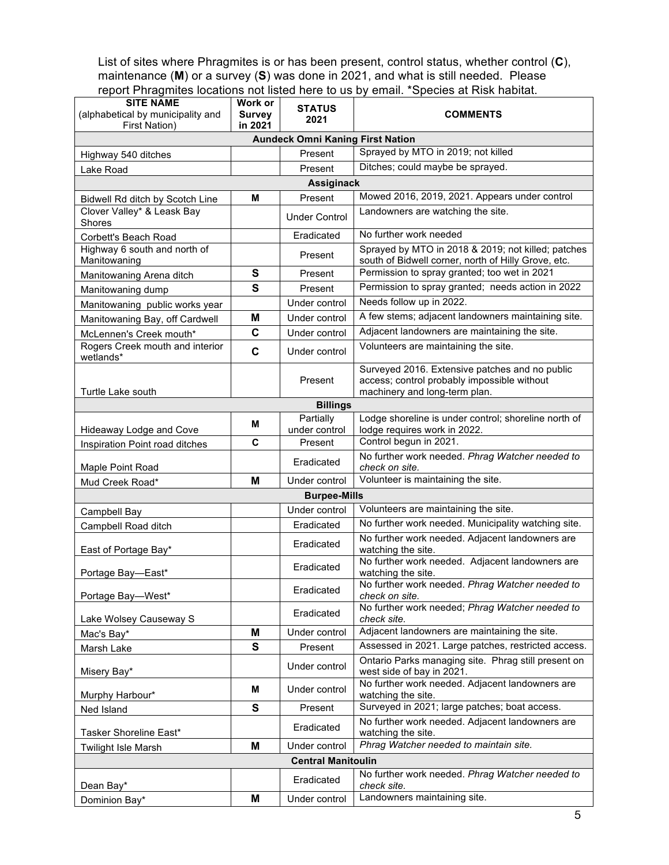List of sites where Phragmites is or has been present, control status, whether control (**C**), maintenance (**M**) or a survey (**S**) was done in 2021, and what is still needed. Please report Phragmites locations not listed here to us by email. \*Species at Risk habitat.

| <b>SITE NAME</b><br>(alphabetical by municipality and<br>First Nation) | Work or<br><b>Survey</b><br>in 2021 | <b>STATUS</b><br>2021                   | <b>COMMENTS</b>                                                                                                                |
|------------------------------------------------------------------------|-------------------------------------|-----------------------------------------|--------------------------------------------------------------------------------------------------------------------------------|
|                                                                        |                                     | <b>Aundeck Omni Kaning First Nation</b> |                                                                                                                                |
| Highway 540 ditches                                                    |                                     | Present                                 | Sprayed by MTO in 2019; not killed                                                                                             |
| Lake Road                                                              |                                     | Present                                 | Ditches; could maybe be sprayed.                                                                                               |
|                                                                        |                                     | <b>Assiginack</b>                       |                                                                                                                                |
| Bidwell Rd ditch by Scotch Line                                        | Μ                                   | Present                                 | Mowed 2016, 2019, 2021. Appears under control                                                                                  |
| Clover Valley* & Leask Bay<br>Shores                                   |                                     | <b>Under Control</b>                    | Landowners are watching the site.                                                                                              |
| Corbett's Beach Road                                                   |                                     | Eradicated                              | No further work needed                                                                                                         |
| Highway 6 south and north of<br>Manitowaning                           |                                     | Present                                 | Sprayed by MTO in 2018 & 2019; not killed; patches<br>south of Bidwell corner, north of Hilly Grove, etc.                      |
| Manitowaning Arena ditch                                               | S                                   | Present                                 | Permission to spray granted; too wet in 2021                                                                                   |
| Manitowaning dump                                                      | S                                   | Present                                 | Permission to spray granted; needs action in 2022                                                                              |
| Manitowaning public works year                                         |                                     | Under control                           | Needs follow up in 2022.                                                                                                       |
| Manitowaning Bay, off Cardwell                                         | М                                   | Under control                           | A few stems; adjacent landowners maintaining site.                                                                             |
| McLennen's Creek mouth*                                                | $\mathbf c$                         | Under control                           | Adjacent landowners are maintaining the site.                                                                                  |
| Rogers Creek mouth and interior<br>wetlands*                           | C                                   | Under control                           | Volunteers are maintaining the site.                                                                                           |
| Turtle Lake south                                                      |                                     | Present                                 | Surveyed 2016. Extensive patches and no public<br>access; control probably impossible without<br>machinery and long-term plan. |
|                                                                        |                                     | <b>Billings</b>                         |                                                                                                                                |
| Hideaway Lodge and Cove                                                | Μ                                   | Partially<br>under control              | Lodge shoreline is under control; shoreline north of<br>lodge requires work in 2022.                                           |
| Inspiration Point road ditches                                         | C                                   | Present                                 | Control begun in 2021.                                                                                                         |
| Maple Point Road                                                       |                                     | Eradicated                              | No further work needed. Phrag Watcher needed to<br>check on site.                                                              |
| Mud Creek Road*                                                        | M                                   | Under control                           | Volunteer is maintaining the site.                                                                                             |
|                                                                        |                                     | <b>Burpee-Mills</b>                     |                                                                                                                                |
| Campbell Bay                                                           |                                     | Under control                           | Volunteers are maintaining the site.                                                                                           |
| Campbell Road ditch                                                    |                                     | Eradicated                              | No further work needed. Municipality watching site.                                                                            |
| East of Portage Bay*                                                   |                                     | Eradicated                              | No further work needed. Adjacent landowners are<br>watching the site.                                                          |
| Portage Bay-East*                                                      |                                     | Eradicated                              | No further work needed. Adjacent landowners are<br>watching the site.                                                          |
| Portage Bay-West*                                                      |                                     | Eradicated                              | No further work needed. Phrag Watcher needed to<br>check on site.                                                              |
| Lake Wolsey Causeway S                                                 |                                     | Eradicated                              | No further work needed; Phrag Watcher needed to<br>check site.                                                                 |
| Mac's Bay*                                                             | M                                   | Under control                           | Adjacent landowners are maintaining the site.                                                                                  |
| Marsh Lake                                                             | $\mathbf{s}$                        | Present                                 | Assessed in 2021. Large patches, restricted access.                                                                            |
| Misery Bay*                                                            |                                     | Under control                           | Ontario Parks managing site. Phrag still present on<br>west side of bay in 2021.                                               |
| Murphy Harbour*                                                        | М                                   | Under control                           | No further work needed. Adjacent landowners are<br>watching the site.                                                          |
| Ned Island                                                             | $\mathbf{s}$                        | Present                                 | Surveyed in 2021; large patches; boat access.                                                                                  |
| Tasker Shoreline East*                                                 |                                     | Eradicated                              | No further work needed. Adjacent landowners are<br>watching the site.                                                          |
| <b>Twilight Isle Marsh</b>                                             | M                                   | Under control                           | Phrag Watcher needed to maintain site.                                                                                         |
| <b>Central Manitoulin</b>                                              |                                     |                                         |                                                                                                                                |
| Dean Bay*                                                              |                                     | Eradicated                              | No further work needed. Phrag Watcher needed to<br>check site.                                                                 |
| Dominion Bay*                                                          | M                                   | Under control                           | Landowners maintaining site.                                                                                                   |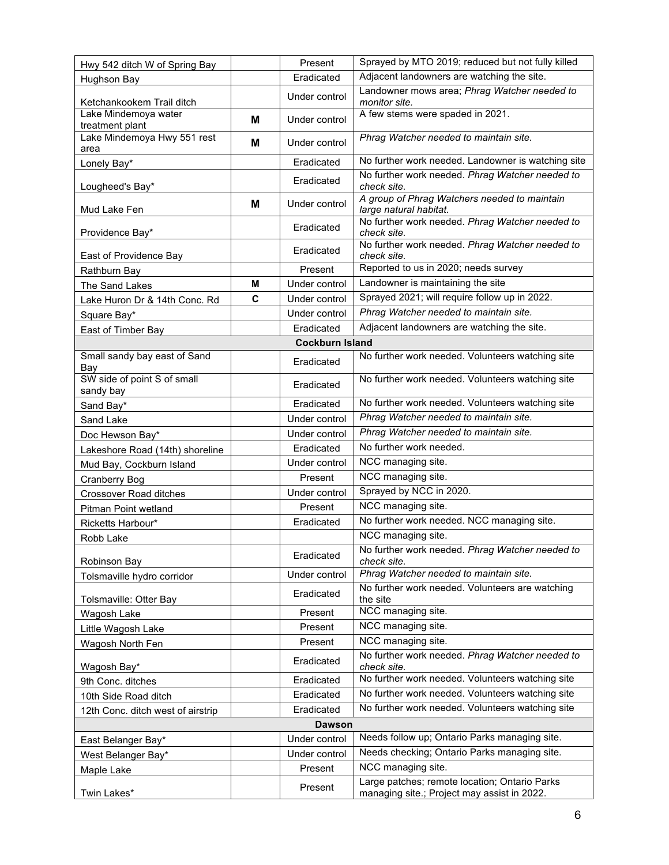| Hwy 542 ditch W of Spring Bay                  |   | Present       | Sprayed by MTO 2019; reduced but not fully killed                                            |  |
|------------------------------------------------|---|---------------|----------------------------------------------------------------------------------------------|--|
| Hughson Bay                                    |   | Eradicated    | Adjacent landowners are watching the site.                                                   |  |
| Ketchankookem Trail ditch                      |   | Under control | Landowner mows area; Phrag Watcher needed to<br>monitor site.                                |  |
| Lake Mindemoya water                           | M | Under control | A few stems were spaded in 2021.                                                             |  |
| treatment plant<br>Lake Mindemoya Hwy 551 rest | М | Under control | Phrag Watcher needed to maintain site.                                                       |  |
| area<br>Lonely Bay*                            |   | Eradicated    | No further work needed. Landowner is watching site                                           |  |
|                                                |   | Eradicated    | No further work needed. Phrag Watcher needed to                                              |  |
| Lougheed's Bay*                                |   |               | check site.                                                                                  |  |
| Mud Lake Fen                                   | M | Under control | A group of Phrag Watchers needed to maintain<br>large natural habitat.                       |  |
| Providence Bay*                                |   | Eradicated    | No further work needed. Phrag Watcher needed to<br>check site.                               |  |
| East of Providence Bay                         |   | Eradicated    | No further work needed. Phrag Watcher needed to<br>check site.                               |  |
| Rathburn Bay                                   |   | Present       | Reported to us in 2020; needs survey                                                         |  |
| The Sand Lakes                                 | М | Under control | Landowner is maintaining the site                                                            |  |
| Lake Huron Dr & 14th Conc. Rd                  | C | Under control | Sprayed 2021; will require follow up in 2022.                                                |  |
| Square Bay*                                    |   | Under control | Phrag Watcher needed to maintain site.                                                       |  |
| East of Timber Bay                             |   | Eradicated    | Adjacent landowners are watching the site.                                                   |  |
| <b>Cockburn Island</b>                         |   |               |                                                                                              |  |
| Small sandy bay east of Sand<br>Bay            |   | Eradicated    | No further work needed. Volunteers watching site                                             |  |
| SW side of point S of small<br>sandy bay       |   | Eradicated    | No further work needed. Volunteers watching site                                             |  |
| Sand Bay*                                      |   | Eradicated    | No further work needed. Volunteers watching site                                             |  |
| Sand Lake                                      |   | Under control | Phrag Watcher needed to maintain site.                                                       |  |
| Doc Hewson Bay*                                |   | Under control | Phrag Watcher needed to maintain site.                                                       |  |
| Lakeshore Road (14th) shoreline                |   | Eradicated    | No further work needed.                                                                      |  |
| Mud Bay, Cockburn Island                       |   | Under control | NCC managing site.                                                                           |  |
| <b>Cranberry Bog</b>                           |   | Present       | NCC managing site.                                                                           |  |
| Crossover Road ditches                         |   | Under control | Sprayed by NCC in 2020.                                                                      |  |
| Pitman Point wetland                           |   | Present       | NCC managing site.                                                                           |  |
| Ricketts Harbour*                              |   | Eradicated    | No further work needed. NCC managing site.                                                   |  |
| Robb Lake                                      |   |               | NCC managing site.                                                                           |  |
| Robinson Bay                                   |   | Eradicated    | No further work needed. Phrag Watcher needed to<br>check site.                               |  |
| Tolsmaville hydro corridor                     |   | Under control | Phrag Watcher needed to maintain site.                                                       |  |
| Tolsmaville: Otter Bay                         |   | Eradicated    | No further work needed. Volunteers are watching<br>the site                                  |  |
| Wagosh Lake                                    |   | Present       | NCC managing site.                                                                           |  |
| Little Wagosh Lake                             |   | Present       | NCC managing site.                                                                           |  |
| Wagosh North Fen                               |   | Present       | NCC managing site.                                                                           |  |
| Wagosh Bay*                                    |   | Eradicated    | No further work needed. Phrag Watcher needed to<br>check site.                               |  |
| 9th Conc. ditches                              |   | Eradicated    | No further work needed. Volunteers watching site                                             |  |
| 10th Side Road ditch                           |   | Eradicated    | No further work needed. Volunteers watching site                                             |  |
| 12th Conc. ditch west of airstrip              |   | Eradicated    | No further work needed. Volunteers watching site                                             |  |
| <b>Dawson</b>                                  |   |               |                                                                                              |  |
| East Belanger Bay*                             |   | Under control | Needs follow up; Ontario Parks managing site.                                                |  |
| West Belanger Bay*                             |   | Under control | Needs checking; Ontario Parks managing site.                                                 |  |
| Maple Lake                                     |   | Present       | NCC managing site.                                                                           |  |
| Twin Lakes*                                    |   | Present       | Large patches; remote location; Ontario Parks<br>managing site.; Project may assist in 2022. |  |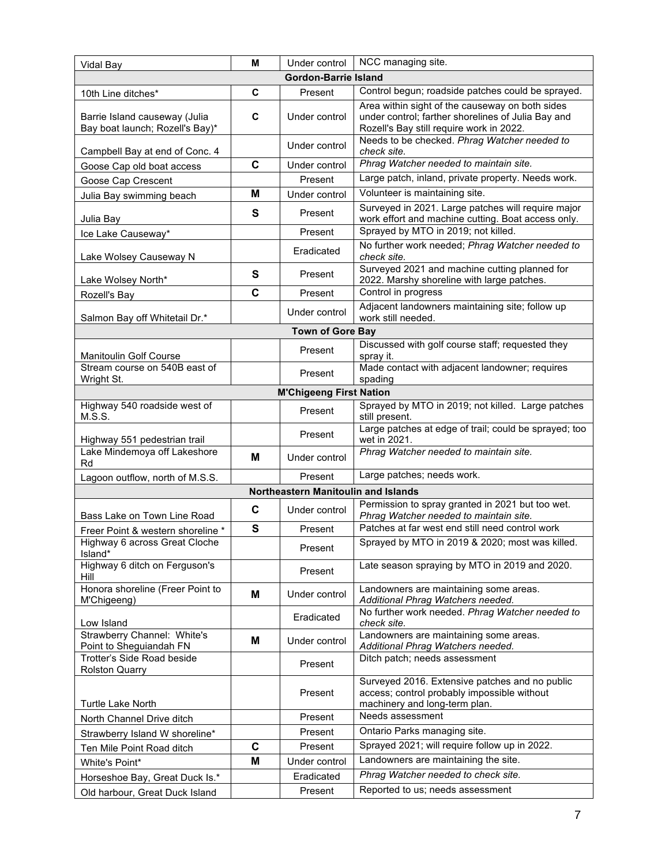| Vidal Bay                                                        | м | Under control                       | NCC managing site.                                                                                                                                |
|------------------------------------------------------------------|---|-------------------------------------|---------------------------------------------------------------------------------------------------------------------------------------------------|
|                                                                  |   | <b>Gordon-Barrie Island</b>         |                                                                                                                                                   |
| 10th Line ditches*                                               | C | Present                             | Control begun; roadside patches could be sprayed.                                                                                                 |
| Barrie Island causeway (Julia<br>Bay boat launch; Rozell's Bay)* | C | Under control                       | Area within sight of the causeway on both sides<br>under control; farther shorelines of Julia Bay and<br>Rozell's Bay still require work in 2022. |
| Campbell Bay at end of Conc. 4                                   |   | Under control                       | Needs to be checked. Phrag Watcher needed to<br>check site.                                                                                       |
| Goose Cap old boat access                                        | C | Under control                       | Phrag Watcher needed to maintain site.                                                                                                            |
| Goose Cap Crescent                                               |   | Present                             | Large patch, inland, private property. Needs work.                                                                                                |
| Julia Bay swimming beach                                         | M | Under control                       | Volunteer is maintaining site.                                                                                                                    |
| Julia Bay                                                        | S | Present                             | Surveyed in 2021. Large patches will require major<br>work effort and machine cutting. Boat access only.                                          |
| Ice Lake Causeway*                                               |   | Present                             | Sprayed by MTO in 2019; not killed.                                                                                                               |
| Lake Wolsey Causeway N                                           |   | Eradicated                          | No further work needed; Phrag Watcher needed to<br>check site.                                                                                    |
| Lake Wolsey North*                                               | S | Present                             | Surveyed 2021 and machine cutting planned for<br>2022. Marshy shoreline with large patches.                                                       |
| Rozell's Bay                                                     | C | Present                             | Control in progress                                                                                                                               |
| Salmon Bay off Whitetail Dr.*                                    |   | Under control                       | Adjacent landowners maintaining site; follow up<br>work still needed.                                                                             |
|                                                                  |   | <b>Town of Gore Bay</b>             |                                                                                                                                                   |
| <b>Manitoulin Golf Course</b>                                    |   | Present                             | Discussed with golf course staff; requested they<br>spray it.                                                                                     |
| Stream course on 540B east of<br>Wright St.                      |   | Present                             | Made contact with adjacent landowner; requires<br>spading                                                                                         |
|                                                                  |   | <b>M'Chigeeng First Nation</b>      |                                                                                                                                                   |
| Highway 540 roadside west of<br>M.S.S.                           |   | Present                             | Sprayed by MTO in 2019; not killed. Large patches<br>still present.                                                                               |
| Highway 551 pedestrian trail                                     |   | Present                             | Large patches at edge of trail; could be sprayed; too<br>wet in 2021.                                                                             |
| Lake Mindemoya off Lakeshore<br>Rd                               | м | Under control                       | Phrag Watcher needed to maintain site.                                                                                                            |
| Lagoon outflow, north of M.S.S.                                  |   | Present                             | Large patches; needs work.                                                                                                                        |
|                                                                  |   | Northeastern Manitoulin and Islands |                                                                                                                                                   |
| Bass Lake on Town Line Road                                      | C | Under control                       | Permission to spray granted in 2021 but too wet.<br>Phrag Watcher needed to maintain site.                                                        |
| Freer Point & western shoreline *                                | S | Present                             | Patches at far west end still need control work                                                                                                   |
| Highway 6 across Great Cloche<br>Island*                         |   | Present                             | Sprayed by MTO in 2019 & 2020; most was killed.                                                                                                   |
| Highway 6 ditch on Ferguson's<br>Hill                            |   | Present                             | Late season spraying by MTO in 2019 and 2020.                                                                                                     |
| Honora shoreline (Freer Point to<br>M'Chigeeng)                  | M | Under control                       | Landowners are maintaining some areas.<br>Additional Phrag Watchers needed.                                                                       |
| Low Island                                                       |   | Eradicated                          | No further work needed. Phrag Watcher needed to<br>check site.                                                                                    |
| Strawberry Channel: White's<br>Point to Sheguiandah FN           | М | Under control                       | Landowners are maintaining some areas.<br>Additional Phrag Watchers needed.                                                                       |
| Trotter's Side Road beside<br><b>Rolston Quarry</b>              |   | Present                             | Ditch patch; needs assessment                                                                                                                     |
| Turtle Lake North                                                |   | Present                             | Surveyed 2016. Extensive patches and no public<br>access; control probably impossible without<br>machinery and long-term plan.                    |
| North Channel Drive ditch                                        |   | Present                             | Needs assessment                                                                                                                                  |
| Strawberry Island W shoreline*                                   |   | Present                             | Ontario Parks managing site.                                                                                                                      |
| Ten Mile Point Road ditch                                        | C | Present                             | Sprayed 2021; will require follow up in 2022.                                                                                                     |
| White's Point*                                                   | M | Under control                       | Landowners are maintaining the site.                                                                                                              |
| Horseshoe Bay, Great Duck Is.*                                   |   | Eradicated                          | Phrag Watcher needed to check site.                                                                                                               |
| Old harbour, Great Duck Island                                   |   | Present                             | Reported to us; needs assessment                                                                                                                  |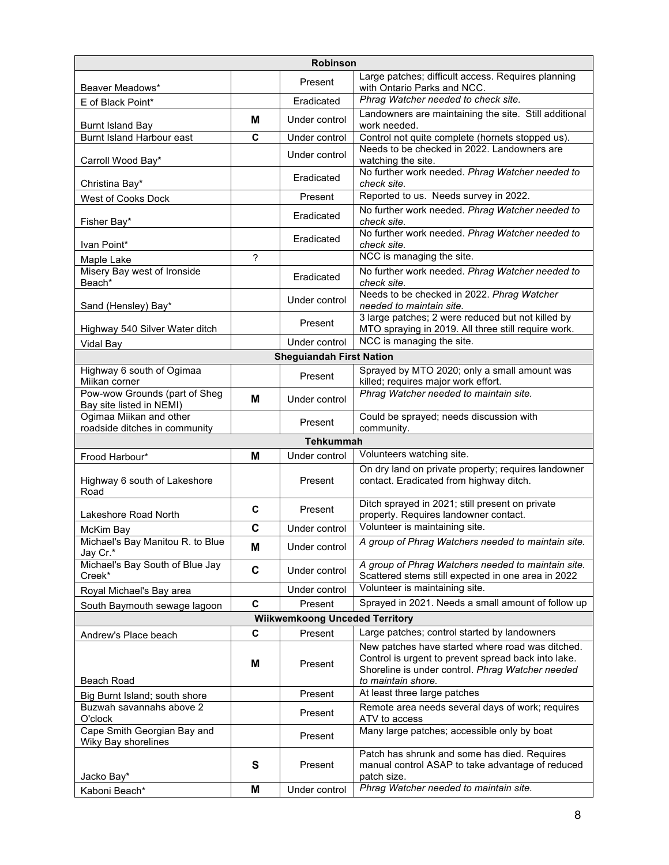| Robinson                                                  |             |                                 |                                                                                                                                                                                   |  |
|-----------------------------------------------------------|-------------|---------------------------------|-----------------------------------------------------------------------------------------------------------------------------------------------------------------------------------|--|
| Beaver Meadows*                                           |             | Present                         | Large patches; difficult access. Requires planning<br>with Ontario Parks and NCC.                                                                                                 |  |
| E of Black Point*                                         |             | Eradicated                      | Phrag Watcher needed to check site.                                                                                                                                               |  |
|                                                           | M           | Under control                   | Landowners are maintaining the site. Still additional                                                                                                                             |  |
| <b>Burnt Island Bay</b>                                   |             |                                 | work needed.                                                                                                                                                                      |  |
| Burnt Island Harbour east                                 | C           | Under control                   | Control not quite complete (hornets stopped us).                                                                                                                                  |  |
| Carroll Wood Bay*                                         |             | Under control                   | Needs to be checked in 2022. Landowners are<br>watching the site.                                                                                                                 |  |
| Christina Bay*                                            |             | Eradicated                      | No further work needed. Phrag Watcher needed to<br>check site.                                                                                                                    |  |
| West of Cooks Dock                                        |             | Present                         | Reported to us. Needs survey in 2022.                                                                                                                                             |  |
| Fisher Bay*                                               |             | Eradicated                      | No further work needed. Phrag Watcher needed to<br>check site.                                                                                                                    |  |
| Ivan Point*                                               |             | Eradicated                      | No further work needed. Phrag Watcher needed to<br>check site.                                                                                                                    |  |
| Maple Lake                                                | 2           |                                 | NCC is managing the site.                                                                                                                                                         |  |
| Misery Bay west of Ironside<br>Beach*                     |             | Eradicated                      | No further work needed. Phrag Watcher needed to<br>check site.                                                                                                                    |  |
| Sand (Hensley) Bay*                                       |             | Under control                   | Needs to be checked in 2022. Phrag Watcher<br>needed to maintain site.                                                                                                            |  |
| Highway 540 Silver Water ditch                            |             | Present                         | 3 large patches; 2 were reduced but not killed by<br>MTO spraying in 2019. All three still require work.                                                                          |  |
| Vidal Bay                                                 |             | Under control                   | NCC is managing the site.                                                                                                                                                         |  |
|                                                           |             | <b>Sheguiandah First Nation</b> |                                                                                                                                                                                   |  |
| Highway 6 south of Ogimaa<br>Miikan corner                |             | Present                         | Sprayed by MTO 2020; only a small amount was<br>killed; requires major work effort.                                                                                               |  |
| Pow-wow Grounds (part of Sheg<br>Bay site listed in NEMI) | M           | Under control                   | Phrag Watcher needed to maintain site.                                                                                                                                            |  |
| Ogimaa Miikan and other<br>roadside ditches in community  |             | Present                         | Could be sprayed; needs discussion with<br>community.                                                                                                                             |  |
|                                                           |             | <b>Tehkummah</b>                |                                                                                                                                                                                   |  |
| Frood Harbour*                                            | M           | Under control                   | Volunteers watching site.                                                                                                                                                         |  |
| Highway 6 south of Lakeshore<br>Road                      |             | Present                         | On dry land on private property; requires landowner<br>contact. Eradicated from highway ditch.                                                                                    |  |
| Lakeshore Road North                                      | C           | Present                         | Ditch sprayed in 2021; still present on private<br>property. Requires landowner contact.                                                                                          |  |
| McKim Bay                                                 | C           | Under control                   | Volunteer is maintaining site.                                                                                                                                                    |  |
| Michael's Bay Manitou R. to Blue<br>Jay Cr.*              | M           | Under control                   | A group of Phrag Watchers needed to maintain site.                                                                                                                                |  |
| Michael's Bay South of Blue Jay<br>Creek*                 | $\mathbf c$ | Under control                   | A group of Phrag Watchers needed to maintain site.<br>Scattered stems still expected in one area in 2022                                                                          |  |
| Royal Michael's Bay area                                  |             | Under control                   | Volunteer is maintaining site.                                                                                                                                                    |  |
| South Baymouth sewage lagoon                              | $\mathbf c$ | Present                         | Sprayed in 2021. Needs a small amount of follow up                                                                                                                                |  |
| <b>Wiikwemkoong Unceded Territory</b>                     |             |                                 |                                                                                                                                                                                   |  |
| Andrew's Place beach                                      | C           | Present                         | Large patches; control started by landowners                                                                                                                                      |  |
| <b>Beach Road</b>                                         | М           | Present                         | New patches have started where road was ditched.<br>Control is urgent to prevent spread back into lake.<br>Shoreline is under control. Phrag Watcher needed<br>to maintain shore. |  |
| Big Burnt Island; south shore                             |             | Present                         | At least three large patches                                                                                                                                                      |  |
| Buzwah savannahs above 2<br>O'clock                       |             | Present                         | Remote area needs several days of work; requires<br>ATV to access                                                                                                                 |  |
| Cape Smith Georgian Bay and<br>Wiky Bay shorelines        |             | Present                         | Many large patches; accessible only by boat                                                                                                                                       |  |
| Jacko Bay*                                                | S           | Present                         | Patch has shrunk and some has died. Requires<br>manual control ASAP to take advantage of reduced<br>patch size.                                                                   |  |
| Kaboni Beach*                                             | M           | Under control                   | Phrag Watcher needed to maintain site.                                                                                                                                            |  |